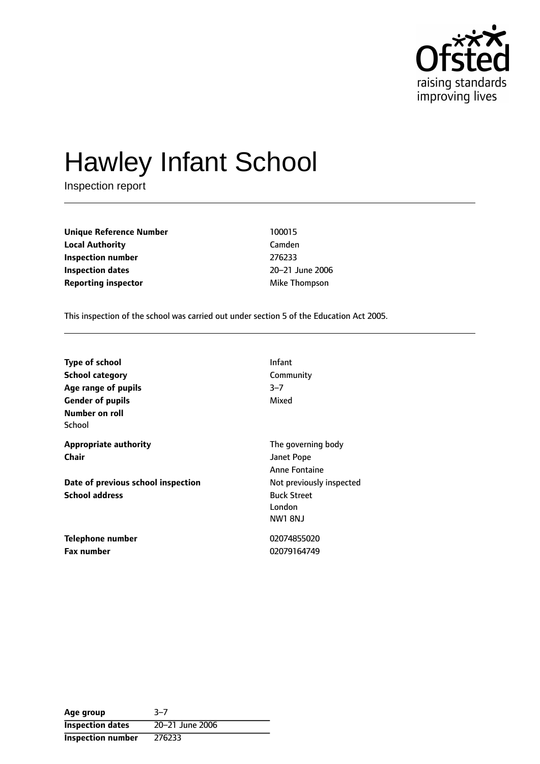

# Hawley Infant School

Inspection report

**Unique Reference Number** 100015 **Local Authority** Camden **Inspection number** 276233 **Inspection dates** 20-21 June 2006 **Reporting inspector and a structure of the Mike Thompson** 

This inspection of the school was carried out under section 5 of the Education Act 2005.

| <b>Type of school</b>              | Infant                   |
|------------------------------------|--------------------------|
| <b>School category</b>             | Community                |
| Age range of pupils                | $3 - 7$                  |
| <b>Gender of pupils</b>            | Mixed                    |
| Number on roll                     |                          |
| School                             |                          |
| <b>Appropriate authority</b>       | The governing body       |
| Chair                              | Janet Pope               |
|                                    | <b>Anne Fontaine</b>     |
| Date of previous school inspection | Not previously inspected |
| <b>School address</b>              | <b>Buck Street</b>       |
|                                    | London                   |
|                                    | <b>NW1 8NJ</b>           |
| Telephone number                   | 02074855020              |
| <b>Fax number</b>                  | 02079164749              |

Age group 3-7 **Inspection dates** 20-21 June 2006 **Inspection number** 276233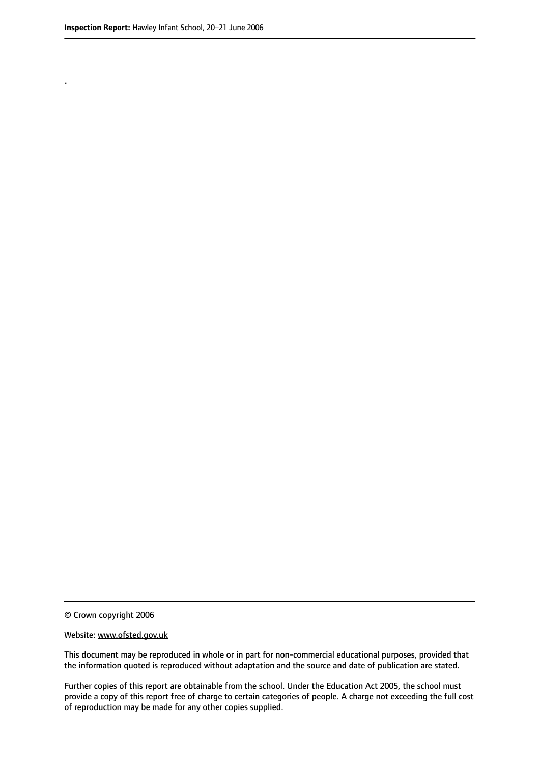.

© Crown copyright 2006

#### Website: www.ofsted.gov.uk

This document may be reproduced in whole or in part for non-commercial educational purposes, provided that the information quoted is reproduced without adaptation and the source and date of publication are stated.

Further copies of this report are obtainable from the school. Under the Education Act 2005, the school must provide a copy of this report free of charge to certain categories of people. A charge not exceeding the full cost of reproduction may be made for any other copies supplied.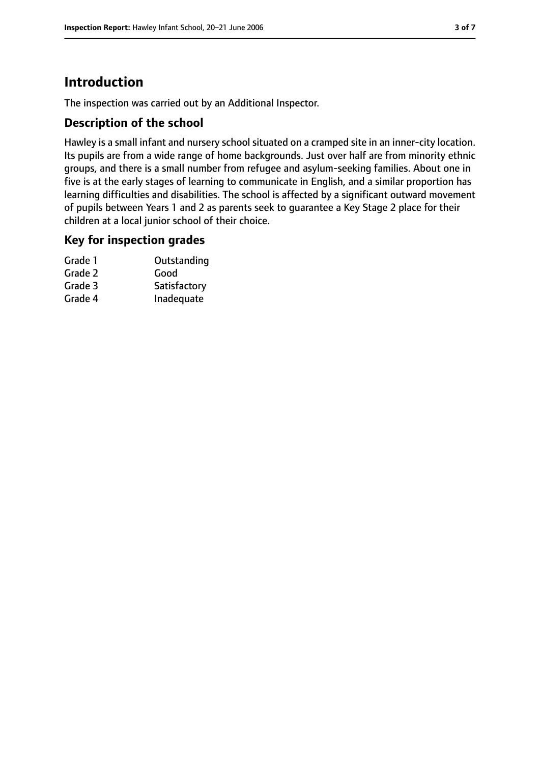# **Introduction**

The inspection was carried out by an Additional Inspector.

## **Description of the school**

Hawley is a small infant and nursery school situated on a cramped site in an inner-city location. Its pupils are from a wide range of home backgrounds. Just over half are from minority ethnic groups, and there is a small number from refugee and asylum-seeking families. About one in five is at the early stages of learning to communicate in English, and a similar proportion has learning difficulties and disabilities. The school is affected by a significant outward movement of pupils between Years 1 and 2 as parents seek to guarantee a Key Stage 2 place for their children at a local junior school of their choice.

#### **Key for inspection grades**

| Grade 1 | Outstanding  |
|---------|--------------|
| Grade 2 | Good         |
| Grade 3 | Satisfactory |
| Grade 4 | Inadequate   |
|         |              |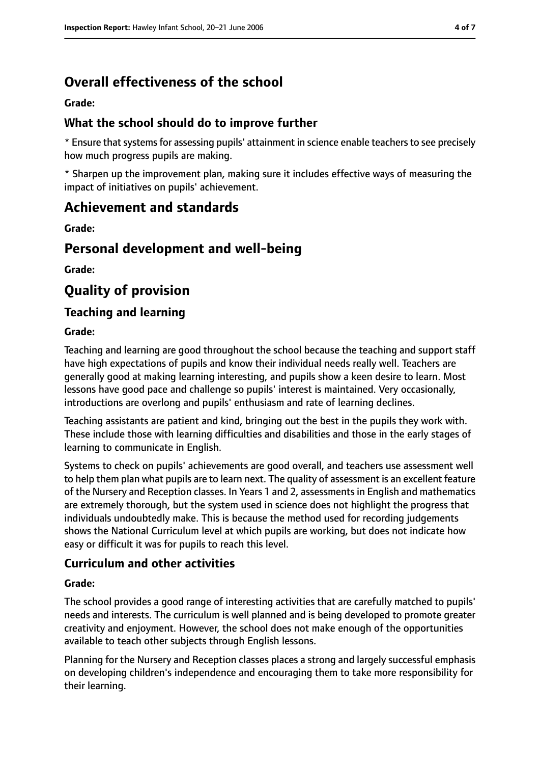# **Overall effectiveness of the school**

#### **Grade:**

### **What the school should do to improve further**

\* Ensure that systems for assessing pupils' attainment in science enable teachers to see precisely how much progress pupils are making.

\* Sharpen up the improvement plan, making sure it includes effective ways of measuring the impact of initiatives on pupils' achievement.

# **Achievement and standards**

**Grade:**

# **Personal development and well-being**

**Grade:**

# **Quality of provision**

### **Teaching and learning**

#### **Grade:**

Teaching and learning are good throughout the school because the teaching and support staff have high expectations of pupils and know their individual needs really well. Teachers are generally good at making learning interesting, and pupils show a keen desire to learn. Most lessons have good pace and challenge so pupils' interest is maintained. Very occasionally, introductions are overlong and pupils' enthusiasm and rate of learning declines.

Teaching assistants are patient and kind, bringing out the best in the pupils they work with. These include those with learning difficulties and disabilities and those in the early stages of learning to communicate in English.

Systems to check on pupils' achievements are good overall, and teachers use assessment well to help them plan what pupils are to learn next. The quality of assessment is an excellent feature of the Nursery and Reception classes. In Years 1 and 2, assessments in English and mathematics are extremely thorough, but the system used in science does not highlight the progress that individuals undoubtedly make. This is because the method used for recording judgements shows the National Curriculum level at which pupils are working, but does not indicate how easy or difficult it was for pupils to reach this level.

## **Curriculum and other activities**

#### **Grade:**

The school provides a good range of interesting activities that are carefully matched to pupils' needs and interests. The curriculum is well planned and is being developed to promote greater creativity and enjoyment. However, the school does not make enough of the opportunities available to teach other subjects through English lessons.

Planning for the Nursery and Reception classes places a strong and largely successful emphasis on developing children's independence and encouraging them to take more responsibility for their learning.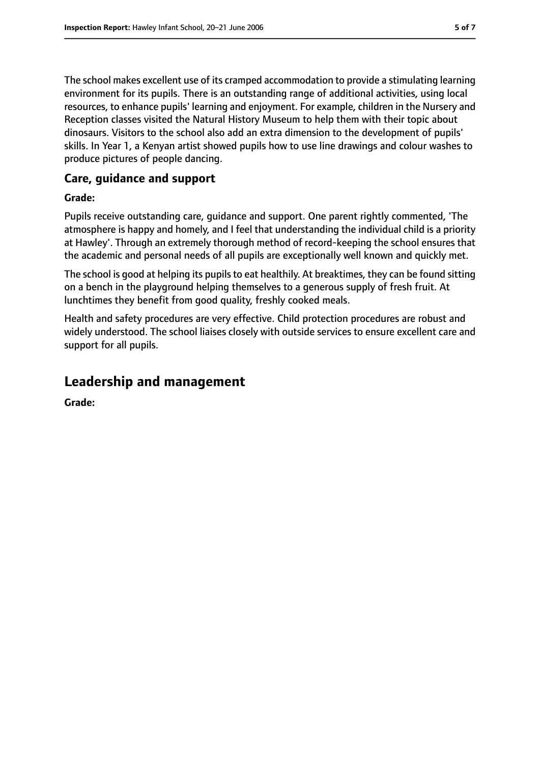The school makes excellent use of its cramped accommodation to provide a stimulating learning environment for its pupils. There is an outstanding range of additional activities, using local resources, to enhance pupils' learning and enjoyment. For example, children in the Nursery and Reception classes visited the Natural History Museum to help them with their topic about dinosaurs. Visitors to the school also add an extra dimension to the development of pupils' skills. In Year 1, a Kenyan artist showed pupils how to use line drawings and colour washes to produce pictures of people dancing.

## **Care, guidance and support**

#### **Grade:**

Pupils receive outstanding care, guidance and support. One parent rightly commented, 'The atmosphere is happy and homely, and I feel that understanding the individual child is a priority at Hawley'. Through an extremely thorough method of record-keeping the school ensures that the academic and personal needs of all pupils are exceptionally well known and quickly met.

The school is good at helping its pupils to eat healthily. At breaktimes, they can be found sitting on a bench in the playground helping themselves to a generous supply of fresh fruit. At lunchtimes they benefit from good quality, freshly cooked meals.

Health and safety procedures are very effective. Child protection procedures are robust and widely understood. The school liaises closely with outside services to ensure excellent care and support for all pupils.

# **Leadership and management**

**Grade:**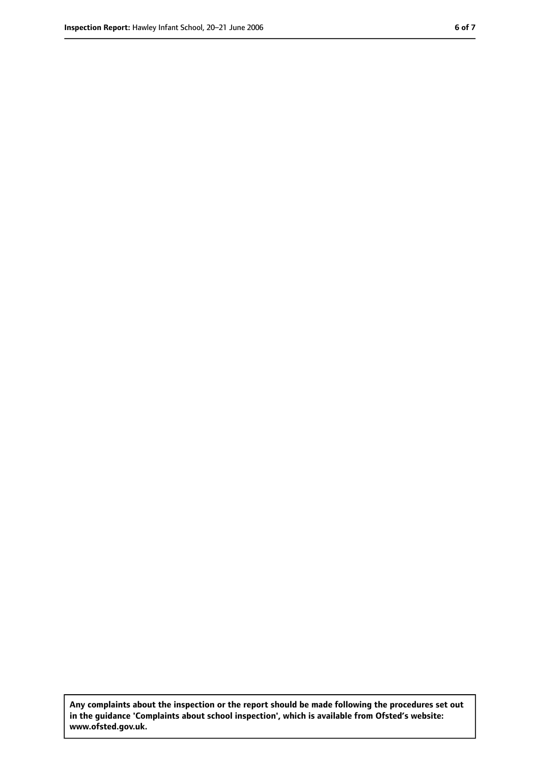**Any complaints about the inspection or the report should be made following the procedures set out in the guidance 'Complaints about school inspection', which is available from Ofsted's website: www.ofsted.gov.uk.**